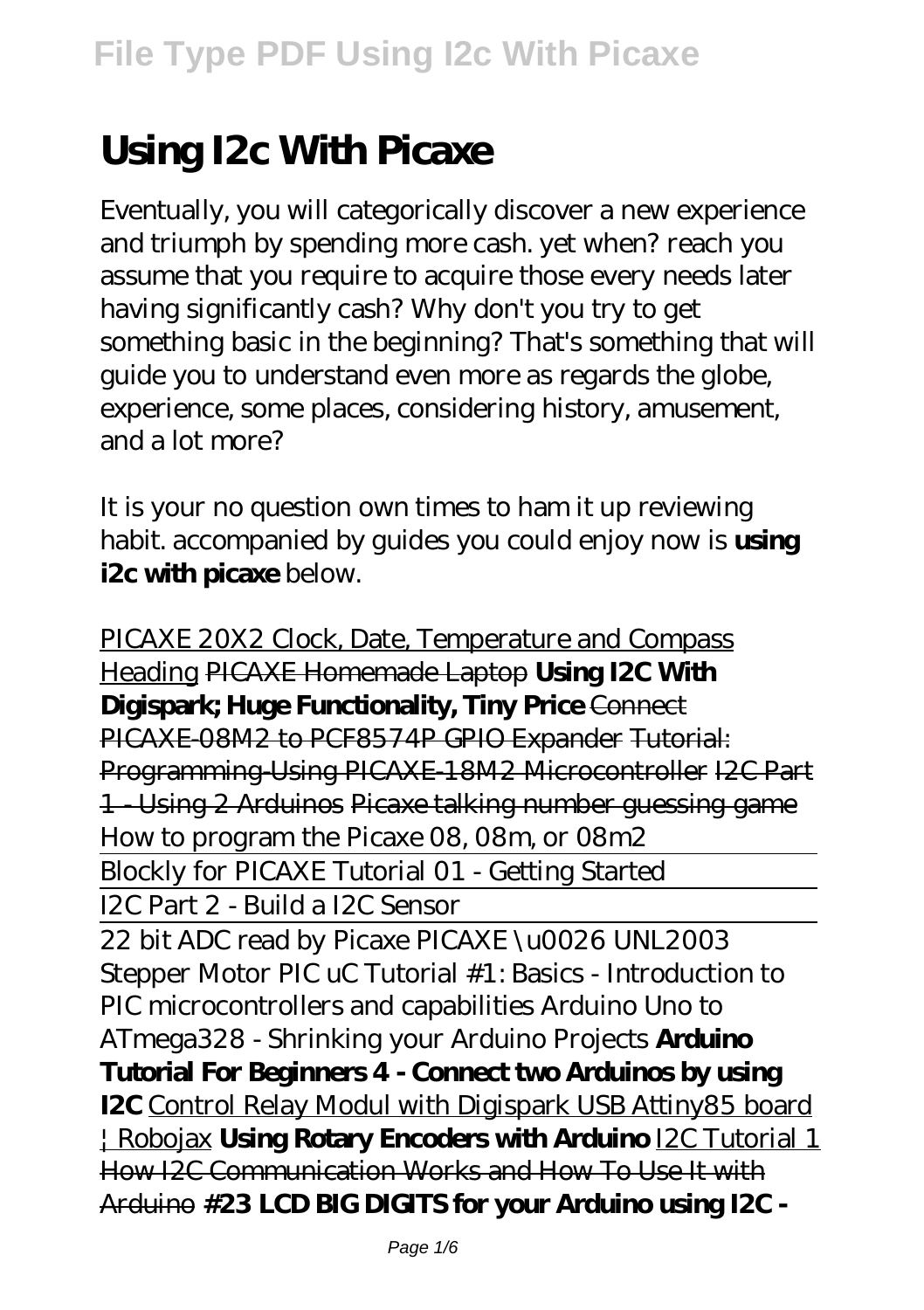# **Using I2c With Picaxe**

Eventually, you will categorically discover a new experience and triumph by spending more cash. yet when? reach you assume that you require to acquire those every needs later having significantly cash? Why don't you try to get something basic in the beginning? That's something that will guide you to understand even more as regards the globe, experience, some places, considering history, amusement, and a lot more?

It is your no question own times to ham it up reviewing habit. accompanied by guides you could enjoy now is **using i2c with picaxe** below.

PICAXE 20X2 Clock, Date, Temperature and Compass Heading PICAXE Homemade Laptop **Using I2C With Digispark; Huge Functionality, Tiny Price** Connect PICAXE-08M2 to PCF8574P GPIO Expander Tutorial: Programming-Using PICAXE-18M2 Microcontroller I2C Part 1 - Using 2 Arduinos Picaxe talking number guessing game How to program the Picaxe 08, 08m, or 08m2 Blockly for PICAXE Tutorial 01 - Getting Started I2C Part 2 - Build a I2C Sensor 22 bit ADC read by Picaxe PICAXE \u0026 UNL2003 Stepper Motor *PIC uC Tutorial #1: Basics - Introduction to PIC microcontrollers and capabilities Arduino Uno to ATmega328 - Shrinking your Arduino Projects* **Arduino Tutorial For Beginners 4 - Connect two Arduinos by using I2C** Control Relay Modul with Digispark USB Attiny85 board | Robojax **Using Rotary Encoders with Arduino** I2C Tutorial 1 How I2C Communication Works and How To Use It with Arduino **#23 LCD BIG DIGITS for your Arduino using I2C -**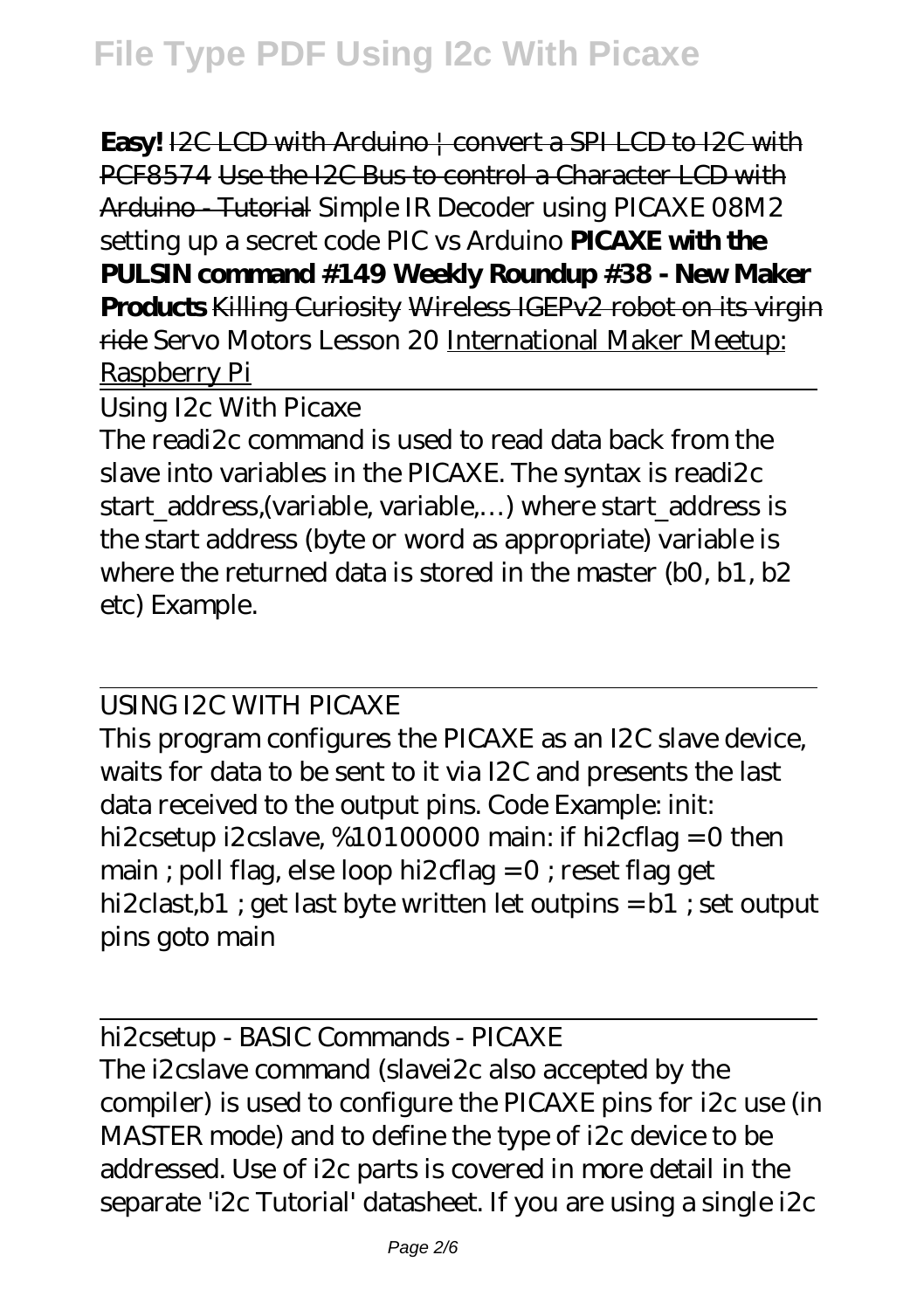**Easy!** I2C LCD with Arduino | convert a SPI LCD to I2C with PCF8574 Use the I2C Bus to control a Character LCD with Arduino - Tutorial *Simple IR Decoder using PICAXE 08M2 setting up a secret code PIC vs Arduino* **PICAXE with the PULSIN command #149 Weekly Roundup #38 - New Maker Products** Killing Curiosity Wireless IGEPv2 robot on its virgin ride Servo Motors Lesson 20 International Maker Meetup: Raspberry Pi

Using I2c With Picaxe

The readi2c command is used to read data back from the slave into variables in the PICAXE. The syntax is readi2c start\_address,(variable, variable,...) where start\_address is the start address (byte or word as appropriate) variable is where the returned data is stored in the master (b0, b1, b2 etc) Example.

USING I2C WITH PICAXE

This program configures the PICAXE as an I2C slave device, waits for data to be sent to it via I2C and presents the last data received to the output pins. Code Example: init: hi2csetup i2cslave, %10100000 main: if hi2cflag = 0 then main ; poll flag, else loop hi2cflag = 0 ; reset flag get hi2clast,b1 ; get last byte written let outpins = b1 ; set output pins goto main

hi2csetup - BASIC Commands - PICAXE The i2cslave command (slavei2c also accepted by the compiler) is used to configure the PICAXE pins for i2c use (in MASTER mode) and to define the type of i2c device to be addressed. Use of i2c parts is covered in more detail in the separate 'i2c Tutorial' datasheet. If you are using a single i2c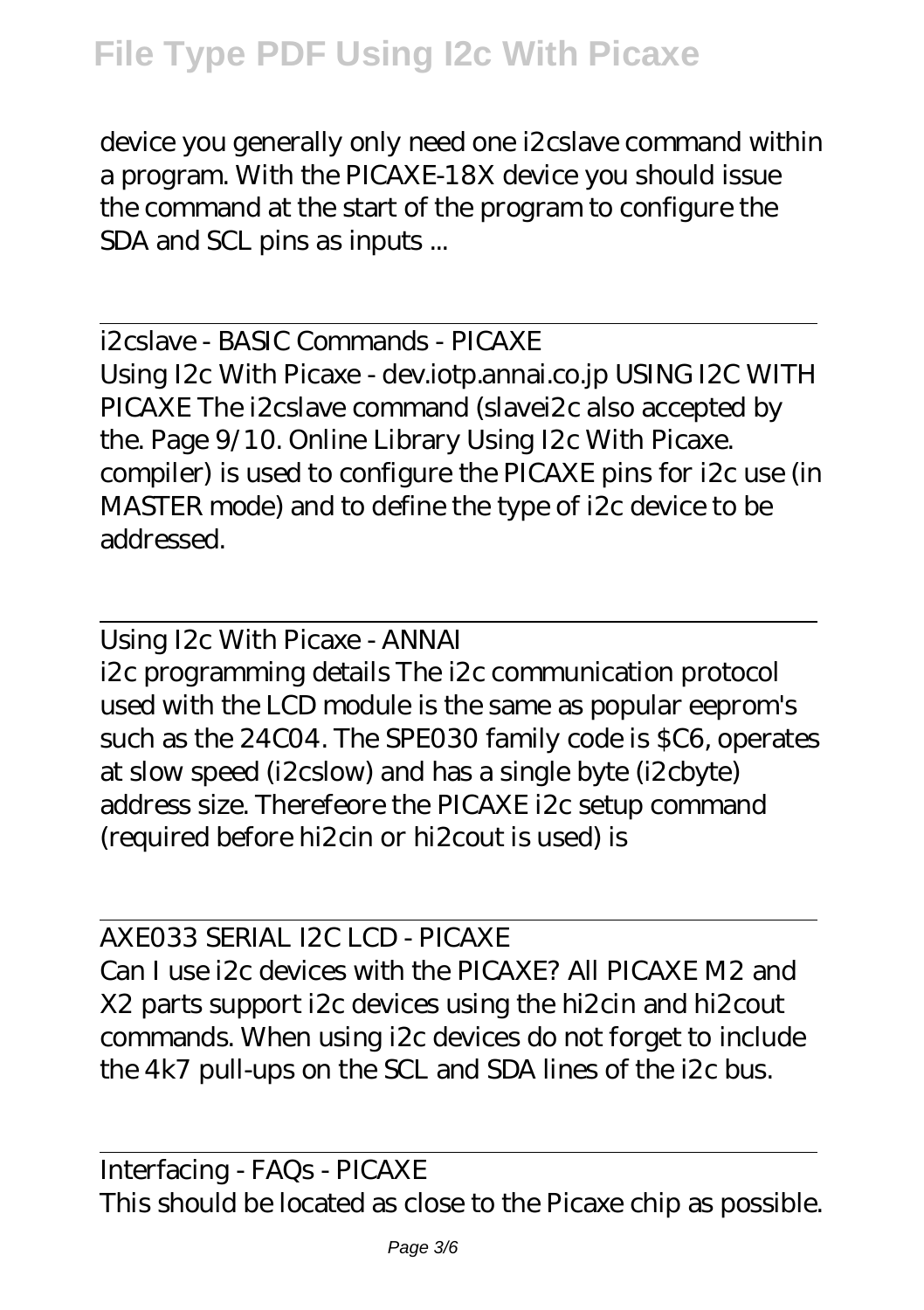device you generally only need one i2cslave command within a program. With the PICAXE-18X device you should issue the command at the start of the program to configure the SDA and SCL pins as inputs ...

i2cslave - BASIC Commands - PICAXE Using I2c With Picaxe - dev.iotp.annai.co.jp USING I2C WITH PICAXE The i2cslave command (slavei2c also accepted by the. Page 9/10. Online Library Using I2c With Picaxe. compiler) is used to configure the PICAXE pins for i2c use (in MASTER mode) and to define the type of i2c device to be addressed.

Using I2c With Picaxe - ANNAI i2c programming details The i2c communication protocol used with the LCD module is the same as popular eeprom's such as the 24C04. The SPE030 family code is \$C6, operates at slow speed (i2cslow) and has a single byte (i2cbyte) address size. Therefeore the PICAXE i2c setup command (required before hi2cin or hi2cout is used) is

AXE033 SERIAL I2C LCD - PICAXE Can I use i2c devices with the PICAXE? All PICAXE M2 and X2 parts support i2c devices using the hi2cin and hi2cout commands. When using i2c devices do not forget to include the 4k7 pull-ups on the SCL and SDA lines of the i2c bus.

Interfacing - FAQs - PICAXE This should be located as close to the Picaxe chip as possible.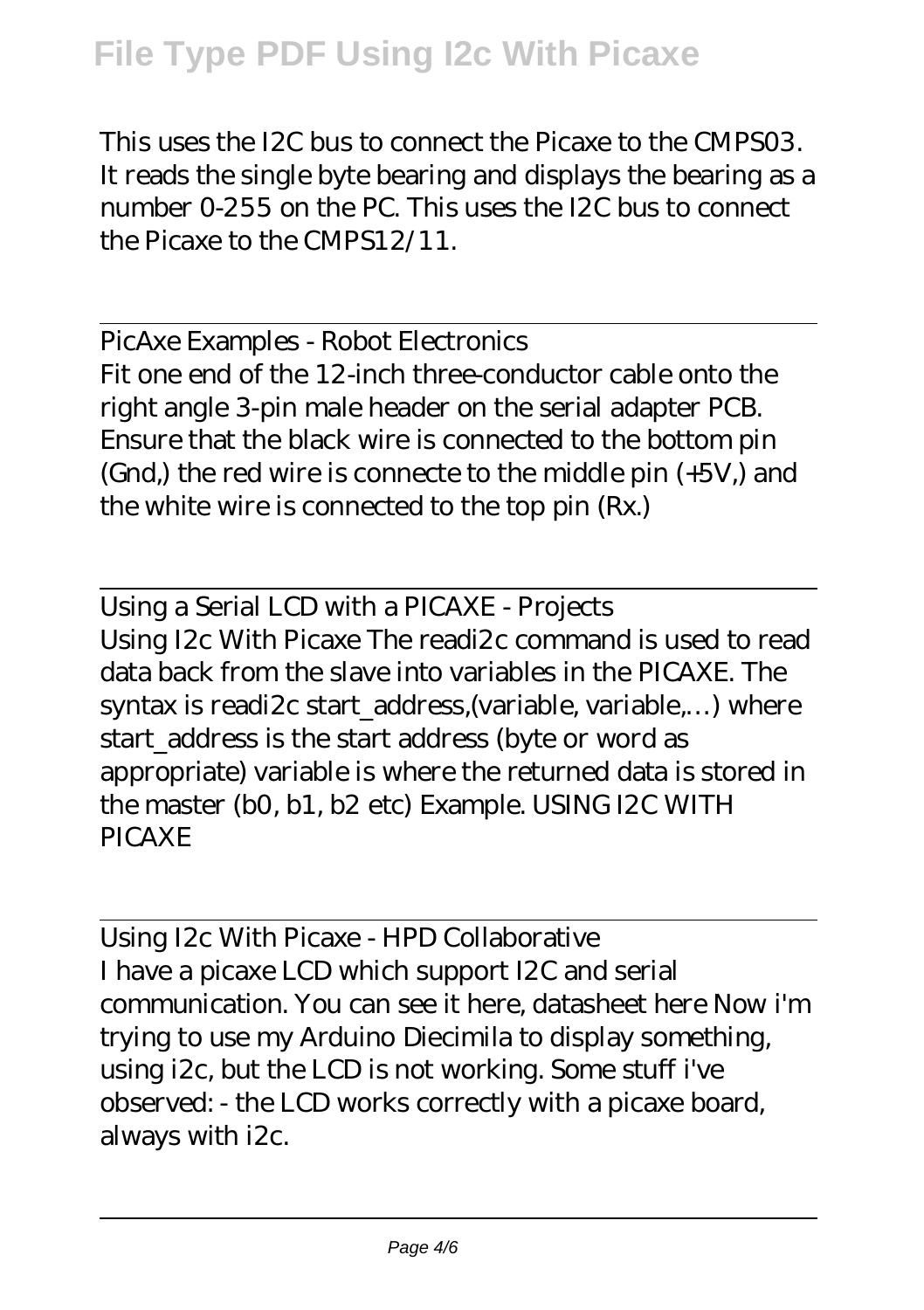## **File Type PDF Using I2c With Picaxe**

This uses the I2C bus to connect the Picaxe to the CMPS03. It reads the single byte bearing and displays the bearing as a number 0-255 on the PC. This uses the I2C bus to connect the Picaxe to the CMPS12/11.

PicAxe Examples - Robot Electronics Fit one end of the 12-inch three-conductor cable onto the right angle 3-pin male header on the serial adapter PCB. Ensure that the black wire is connected to the bottom pin (Gnd,) the red wire is connecte to the middle pin (+5V,) and the white wire is connected to the top pin (Rx.)

Using a Serial LCD with a PICAXE - Projects Using I2c With Picaxe The readi2c command is used to read data back from the slave into variables in the PICAXE. The syntax is readi2c start\_address,(variable, variable,...) where start address is the start address (byte or word as appropriate) variable is where the returned data is stored in the master (b0, b1, b2 etc) Example. USING I2C WITH PICAXE

Using I2c With Picaxe - HPD Collaborative I have a picaxe LCD which support I2C and serial communication. You can see it here, datasheet here Now i'm trying to use my Arduino Diecimila to display something, using i2c, but the LCD is not working. Some stuff i've observed: - the LCD works correctly with a picaxe board, always with i2c.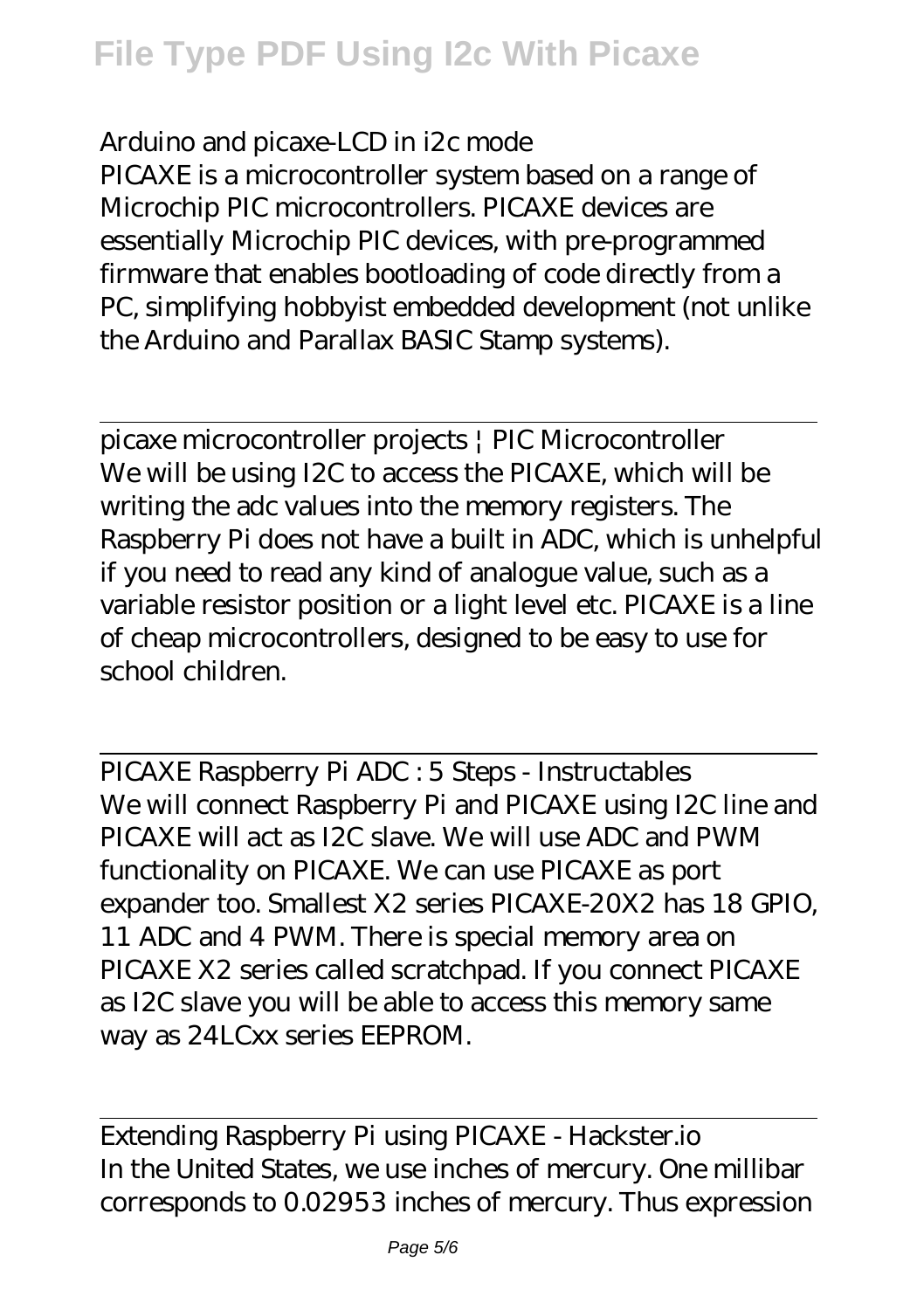# **File Type PDF Using I2c With Picaxe**

#### Arduino and picaxe-LCD in i2c mode

PICAXE is a microcontroller system based on a range of Microchip PIC microcontrollers. PICAXE devices are essentially Microchip PIC devices, with pre-programmed firmware that enables bootloading of code directly from a PC, simplifying hobbyist embedded development (not unlike the Arduino and Parallax BASIC Stamp systems).

picaxe microcontroller projects | PIC Microcontroller We will be using I2C to access the PICAXE, which will be writing the adc values into the memory registers. The Raspberry Pi does not have a built in ADC, which is unhelpful if you need to read any kind of analogue value, such as a variable resistor position or a light level etc. PICAXE is a line of cheap microcontrollers, designed to be easy to use for school children.

PICAXE Raspberry Pi ADC : 5 Steps - Instructables We will connect Raspberry Pi and PICAXE using I2C line and PICAXE will act as I2C slave. We will use ADC and PWM functionality on PICAXE. We can use PICAXE as port expander too. Smallest X2 series PICAXE-20X2 has 18 GPIO, 11 ADC and 4 PWM. There is special memory area on PICAXE X2 series called scratchpad. If you connect PICAXE as I2C slave you will be able to access this memory same way as 24LCxx series EEPROM.

Extending Raspberry Pi using PICAXE - Hackster.io In the United States, we use inches of mercury. One millibar corresponds to 0.02953 inches of mercury. Thus expression